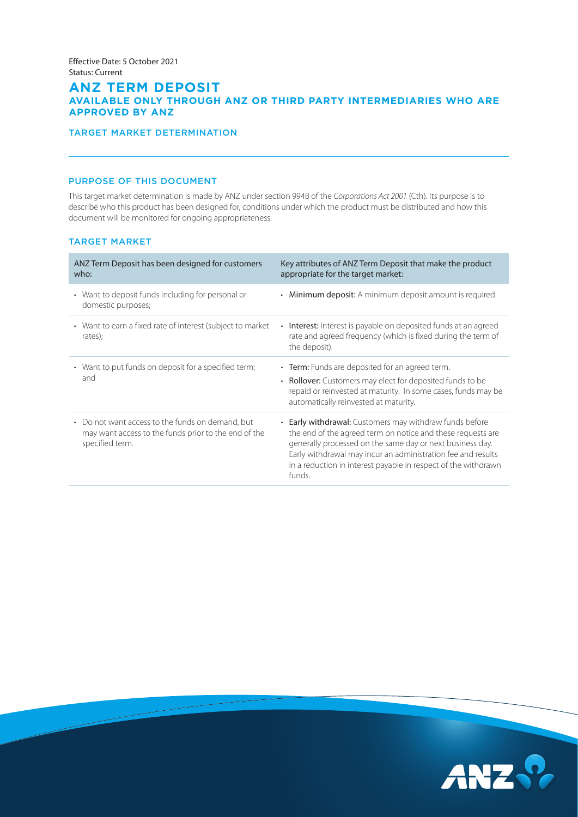# **ANZ TERM DEPOSIT AVAILABLE ONLY THROUGH ANZ OR THIRD PARTY INTERMEDIARIES WHO ARE APPROVED BY ANZ**

## TARGET MARKET DETERMINATION

## PURPOSE OF THIS DOCUMENT

This target market determination is made by ANZ under section 994B of the *Corporations Act 2001* (Cth). Its purpose is to describe who this product has been designed for, conditions under which the product must be distributed and how this document will be monitored for ongoing appropriateness.

### TARGET MARKET

| ANZ Term Deposit has been designed for customers<br>who:                                                                    | Key attributes of ANZ Term Deposit that make the product<br>appropriate for the target market:                                                                                                                                                                                                                                  |
|-----------------------------------------------------------------------------------------------------------------------------|---------------------------------------------------------------------------------------------------------------------------------------------------------------------------------------------------------------------------------------------------------------------------------------------------------------------------------|
| • Want to deposit funds including for personal or<br>domestic purposes;                                                     | • Minimum deposit: A minimum deposit amount is required.                                                                                                                                                                                                                                                                        |
| • Want to earn a fixed rate of interest (subject to market<br>rates);                                                       | <b>Interest:</b> Interest is payable on deposited funds at an agreed<br>$\bullet$<br>rate and agreed frequency (which is fixed during the term of<br>the deposit).                                                                                                                                                              |
| • Want to put funds on deposit for a specified term;<br>and                                                                 | • Term: Funds are deposited for an agreed term.<br>• Rollover: Customers may elect for deposited funds to be<br>repaid or reinvested at maturity. In some cases, funds may be<br>automatically reinvested at maturity.                                                                                                          |
| • Do not want access to the funds on demand, but<br>may want access to the funds prior to the end of the<br>specified term. | • Early withdrawal: Customers may withdraw funds before<br>the end of the agreed term on notice and these requests are<br>generally processed on the same day or next business day.<br>Early withdrawal may incur an administration fee and results<br>in a reduction in interest payable in respect of the withdrawn<br>funds. |

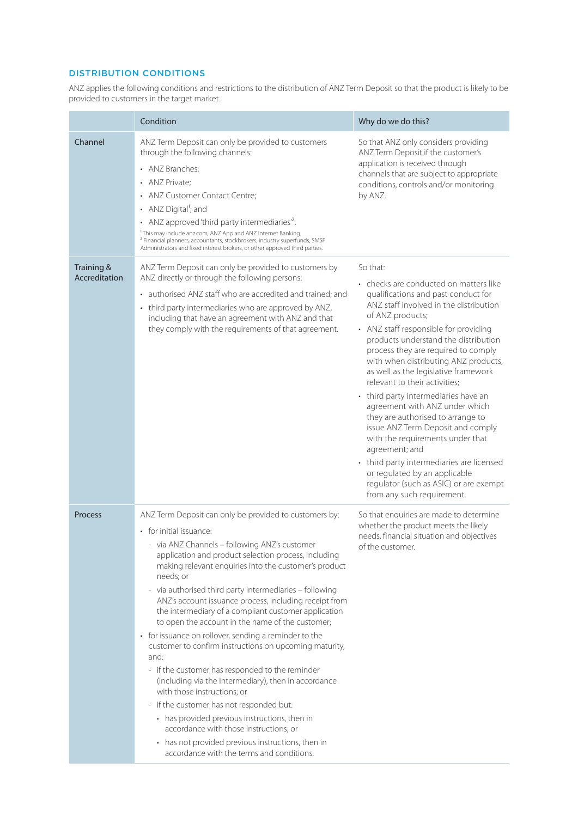## DISTRIBUTION CONDITIONS

ANZ applies the following conditions and restrictions to the distribution of ANZ Term Deposit so that the product is likely to be provided to customers in the target market.

|                             | Condition                                                                                                                                                                                                                                                                                                                                                                                                                                                                                                                                                                                                                                                                                                                                                                                                                                                                                                                                                                                                       | Why do we do this?                                                                                                                                                                                                                                                                                                                                                                                                                                                                                                                                                                                                                                                                                                                                               |
|-----------------------------|-----------------------------------------------------------------------------------------------------------------------------------------------------------------------------------------------------------------------------------------------------------------------------------------------------------------------------------------------------------------------------------------------------------------------------------------------------------------------------------------------------------------------------------------------------------------------------------------------------------------------------------------------------------------------------------------------------------------------------------------------------------------------------------------------------------------------------------------------------------------------------------------------------------------------------------------------------------------------------------------------------------------|------------------------------------------------------------------------------------------------------------------------------------------------------------------------------------------------------------------------------------------------------------------------------------------------------------------------------------------------------------------------------------------------------------------------------------------------------------------------------------------------------------------------------------------------------------------------------------------------------------------------------------------------------------------------------------------------------------------------------------------------------------------|
| Channel                     | ANZ Term Deposit can only be provided to customers<br>through the following channels:<br>• ANZ Branches:<br>• ANZ Private:<br>• ANZ Customer Contact Centre;<br>• ANZ Digital <sup>1</sup> ; and<br>• ANZ approved 'third party intermediaries' <sup>2</sup> .<br><sup>1</sup> This may include anz.com, ANZ App and ANZ Internet Banking.<br><sup>2</sup> Financial planners, accountants, stockbrokers, industry superfunds, SMSF<br>Administrators and fixed interest brokers, or other approved third parties.                                                                                                                                                                                                                                                                                                                                                                                                                                                                                              | So that ANZ only considers providing<br>ANZ Term Deposit if the customer's<br>application is received through<br>channels that are subject to appropriate<br>conditions, controls and/or monitoring<br>by ANZ.                                                                                                                                                                                                                                                                                                                                                                                                                                                                                                                                                   |
| Training &<br>Accreditation | ANZ Term Deposit can only be provided to customers by<br>ANZ directly or through the following persons:<br>• authorised ANZ staff who are accredited and trained; and<br>• third party intermediaries who are approved by ANZ,<br>including that have an agreement with ANZ and that<br>they comply with the requirements of that agreement.                                                                                                                                                                                                                                                                                                                                                                                                                                                                                                                                                                                                                                                                    | So that:<br>• checks are conducted on matters like<br>qualifications and past conduct for<br>ANZ staff involved in the distribution<br>of ANZ products;<br>• ANZ staff responsible for providing<br>products understand the distribution<br>process they are required to comply<br>with when distributing ANZ products,<br>as well as the legislative framework<br>relevant to their activities;<br>• third party intermediaries have an<br>agreement with ANZ under which<br>they are authorised to arrange to<br>issue ANZ Term Deposit and comply<br>with the requirements under that<br>agreement; and<br>• third party intermediaries are licensed<br>or regulated by an applicable<br>regulator (such as ASIC) or are exempt<br>from any such requirement. |
| Process                     | ANZ Term Deposit can only be provided to customers by:<br>• for initial issuance:<br>- via ANZ Channels - following ANZ's customer<br>application and product selection process, including<br>making relevant enquiries into the customer's product<br>needs; or<br>- via authorised third party intermediaries - following<br>ANZ's account issuance process, including receipt from<br>the intermediary of a compliant customer application<br>to open the account in the name of the customer;<br>• for issuance on rollover, sending a reminder to the<br>customer to confirm instructions on upcoming maturity,<br>and:<br>- if the customer has responded to the reminder<br>(including via the Intermediary), then in accordance<br>with those instructions; or<br>- if the customer has not responded but:<br>• has provided previous instructions, then in<br>accordance with those instructions; or<br>• has not provided previous instructions, then in<br>accordance with the terms and conditions. | So that enquiries are made to determine<br>whether the product meets the likely<br>needs, financial situation and objectives<br>of the customer.                                                                                                                                                                                                                                                                                                                                                                                                                                                                                                                                                                                                                 |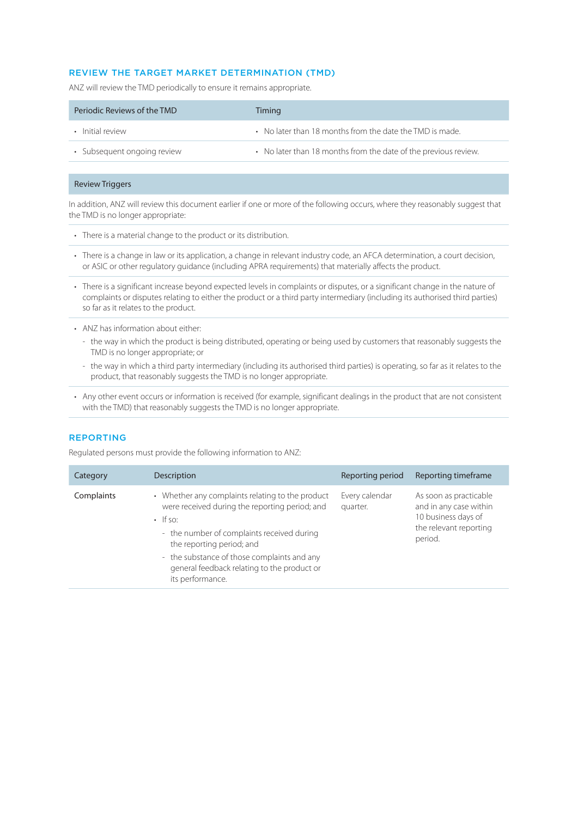### REVIEW THE TARGET MARKET DETERMINATION (TMD)

ANZ will review the TMD periodically to ensure it remains appropriate.

| Periodic Reviews of the TMD | Timing                                                          |
|-----------------------------|-----------------------------------------------------------------|
| • Initial review            | • No later than 18 months from the date the TMD is made.        |
| • Subsequent ongoing review | • No later than 18 months from the date of the previous review. |

### Review Triggers

In addition, ANZ will review this document earlier if one or more of the following occurs, where they reasonably suggest that the TMD is no longer appropriate:

- There is a material change to the product or its distribution.
- There is a change in law or its application, a change in relevant industry code, an AFCA determination, a court decision, or ASIC or other regulatory guidance (including APRA requirements) that materially affects the product.
- There is a significant increase beyond expected levels in complaints or disputes, or a significant change in the nature of complaints or disputes relating to either the product or a third party intermediary (including its authorised third parties) so far as it relates to the product.
- ANZ has information about either:
	- the way in which the product is being distributed, operating or being used by customers that reasonably suggests the TMD is no longer appropriate; or
	- the way in which a third party intermediary (including its authorised third parties) is operating, so far as it relates to the product, that reasonably suggests the TMD is no longer appropriate.
- Any other event occurs or information is received (for example, significant dealings in the product that are not consistent with the TMD) that reasonably suggests the TMD is no longer appropriate.

#### REPORTING

Regulated persons must provide the following information to ANZ:

| Category   | Description                                                                                                                                                                                                                                                                                                       | Reporting period           | Reporting timeframe                                                                                          |
|------------|-------------------------------------------------------------------------------------------------------------------------------------------------------------------------------------------------------------------------------------------------------------------------------------------------------------------|----------------------------|--------------------------------------------------------------------------------------------------------------|
| Complaints | • Whether any complaints relating to the product<br>were received during the reporting period; and<br>$\cdot$ If so:<br>- the number of complaints received during<br>the reporting period; and<br>- the substance of those complaints and any<br>general feedback relating to the product or<br>its performance. | Every calendar<br>quarter. | As soon as practicable<br>and in any case within<br>10 business days of<br>the relevant reporting<br>period. |